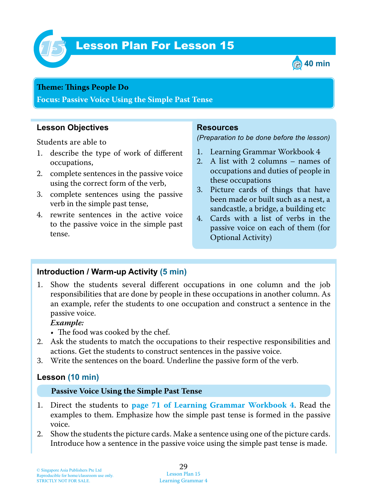

# Lesson Plan For Lesson 15 *15*



#### **Teme : Tings People Do**

**Focus: Passive Voice Using the Simple Past Tense**

## **Lesson Objectives**

Students are able to

- 1. describe the type of work of different occupations,
- 2. complete sentences in the passive voice using the correct form of the verb,
- 3. complete sentences using the passive verb in the simple past tense,
- 4. rewrite sentences in the active voice to the passive voice in the simple past tense.

### **Resources**

*(Preparation to be done before the lesson)*

- 1. Learning Grammar Workbook 4
- 2. A list with 2 columns names of occupations and duties of people in these occupations
- 3. Picture cards of things that have been made or built such as a nest, a sandcastle, a bridge, a building etc
- 4. Cards with a list of verbs in the passive voice on each of them (for Optional Activity)

## **Introduction / Warm-up Activity (5 min)**

1. Show the students several different occupations in one column and the job responsibilities that are done by people in these occupations in another column. As an example, refer the students to one occupation and construct a sentence in the passive voice.

### *Example:*

- The food was cooked by the chef.
- 2. Ask the students to match the occupations to their respective responsibilities and actions. Get the students to construct sentences in the passive voice.
- 3. Write the sentences on the board. Underline the passive form of the verb.

## **Lesson (10 min)**

### **Passive Voice Using the Simple Past Tense**

- 1 . Direct the students to **page 71 of Learning Grammar Workbook 4**. Read the examples to them. Emphasize how the simple past tense is formed in the passive voice.
- 2. Show the students the picture cards. Make a sentence using one of the picture cards. Introduce how a sentence in the passive voice using the simple past tense is made.